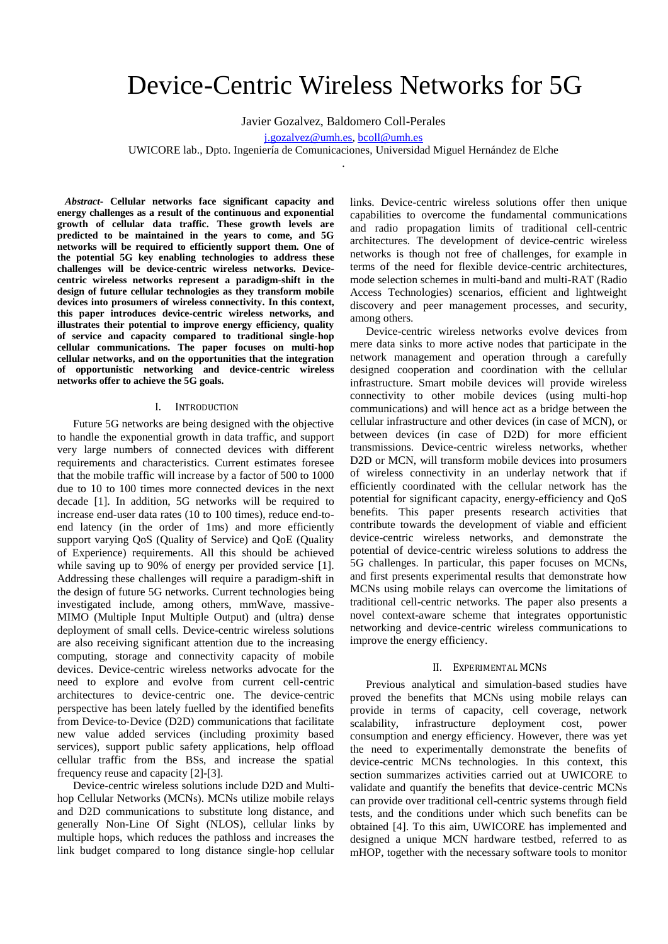# Device-Centric Wireless Networks for 5G

Javier Gozalvez, Baldomero Coll-Perales

[j.gozalvez@umh.es,](mailto:j.gozalvez@umh.es) [bcoll@umh.es](mailto:bcoll@umh.es)

UWICORE lab., Dpto. Ingeniería de Comunicaciones, Universidad Miguel Hernández de Elche .

*Abstract***- Cellular networks face significant capacity and energy challenges as a result of the continuous and exponential growth of cellular data traffic. These growth levels are predicted to be maintained in the years to come, and 5G networks will be required to efficiently support them. One of the potential 5G key enabling technologies to address these challenges will be device-centric wireless networks. Devicecentric wireless networks represent a paradigm-shift in the design of future cellular technologies as they transform mobile devices into prosumers of wireless connectivity. In this context, this paper introduces device-centric wireless networks, and illustrates their potential to improve energy efficiency, quality of service and capacity compared to traditional single-hop cellular communications. The paper focuses on multi-hop cellular networks, and on the opportunities that the integration of opportunistic networking and device-centric wireless networks offer to achieve the 5G goals.**

## I. INTRODUCTION

Future 5G networks are being designed with the objective to handle the exponential growth in data traffic, and support very large numbers of connected devices with different requirements and characteristics. Current estimates foresee that the mobile traffic will increase by a factor of 500 to 1000 due to 10 to 100 times more connected devices in the next decade [1]. In addition, 5G networks will be required to increase end-user data rates (10 to 100 times), reduce end-toend latency (in the order of 1ms) and more efficiently support varying QoS (Quality of Service) and QoE (Quality of Experience) requirements. All this should be achieved while saving up to 90% of energy per provided service [1]. Addressing these challenges will require a paradigm-shift in the design of future 5G networks. Current technologies being investigated include, among others, mmWave, massive-MIMO (Multiple Input Multiple Output) and (ultra) dense deployment of small cells. Device-centric wireless solutions are also receiving significant attention due to the increasing computing, storage and connectivity capacity of mobile devices. Device-centric wireless networks advocate for the need to explore and evolve from current cell‐centric architectures to device‐centric one. The device‐centric perspective has been lately fuelled by the identified benefits from Device-to-Device (D2D) communications that facilitate new value added services (including proximity based services), support public safety applications, help offload cellular traffic from the BSs, and increase the spatial frequency reuse and capacity [2]-[3].

Device-centric wireless solutions include D2D and Multihop Cellular Networks (MCNs). MCNs utilize mobile relays and D2D communications to substitute long distance, and generally Non-Line Of Sight (NLOS), cellular links by multiple hops, which reduces the pathloss and increases the link budget compared to long distance single‐hop cellular

links. Device-centric wireless solutions offer then unique capabilities to overcome the fundamental communications and radio propagation limits of traditional cell-centric architectures. The development of device-centric wireless networks is though not free of challenges, for example in terms of the need for flexible device-centric architectures, mode selection schemes in multi-band and multi-RAT (Radio Access Technologies) scenarios, efficient and lightweight discovery and peer management processes, and security, among others.

Device-centric wireless networks evolve devices from mere data sinks to more active nodes that participate in the network management and operation through a carefully designed cooperation and coordination with the cellular infrastructure. Smart mobile devices will provide wireless connectivity to other mobile devices (using multi-hop communications) and will hence act as a bridge between the cellular infrastructure and other devices (in case of MCN), or between devices (in case of D2D) for more efficient transmissions. Device-centric wireless networks, whether D2D or MCN, will transform mobile devices into prosumers of wireless connectivity in an underlay network that if efficiently coordinated with the cellular network has the potential for significant capacity, energy-efficiency and QoS benefits. This paper presents research activities that contribute towards the development of viable and efficient device-centric wireless networks, and demonstrate the potential of device-centric wireless solutions to address the 5G challenges. In particular, this paper focuses on MCNs, and first presents experimental results that demonstrate how MCNs using mobile relays can overcome the limitations of traditional cell-centric networks. The paper also presents a novel context-aware scheme that integrates opportunistic networking and device-centric wireless communications to improve the energy efficiency.

## II. EXPERIMENTAL MCNS

Previous analytical and simulation-based studies have proved the benefits that MCNs using mobile relays can provide in terms of capacity, cell coverage, network scalability, infrastructure deployment cost, power consumption and energy efficiency. However, there was yet the need to experimentally demonstrate the benefits of device-centric MCNs technologies. In this context, this section summarizes activities carried out at UWICORE to validate and quantify the benefits that device-centric MCNs can provide over traditional cell-centric systems through field tests, and the conditions under which such benefits can be obtained [4]. To this aim, UWICORE has implemented and designed a unique MCN hardware testbed, referred to as mHOP, together with the necessary software tools to monitor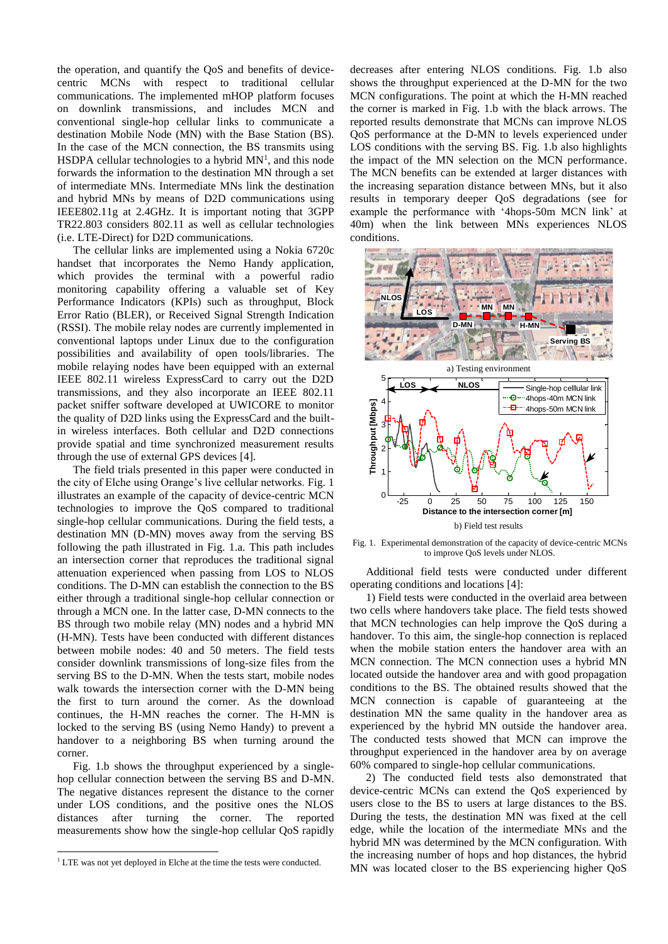the operation, and quantify the QoS and benefits of devicecentric MCNs with respect to traditional cellular communications. The implemented mHOP platform focuses on downlink transmissions, and includes MCN and conventional single-hop cellular links to communicate a destination Mobile Node (MN) with the Base Station (BS). In the case of the MCN connection, the BS transmits using HSDPA cellular technologies to a hybrid  $MN<sup>1</sup>$ , and this node forwards the information to the destination MN through a set of intermediate MNs. Intermediate MNs link the destination and hybrid MNs by means of D2D communications using IEEE802.11g at 2.4GHz. It is important noting that 3GPP TR22.803 considers 802.11 as well as cellular technologies (i.e. LTE-Direct) for D2D communications.

The cellular links are implemented using a Nokia 6720c handset that incorporates the Nemo Handy application, which provides the terminal with a powerful radio monitoring capability offering a valuable set of Key Performance Indicators (KPIs) such as throughput, Block Error Ratio (BLER), or Received Signal Strength Indication (RSSI). The mobile relay nodes are currently implemented in conventional laptops under Linux due to the configuration possibilities and availability of open tools/libraries. The mobile relaying nodes have been equipped with an external IEEE 802.11 wireless ExpressCard to carry out the D2D transmissions, and they also incorporate an IEEE 802.11 packet sniffer software developed at UWICORE to monitor the quality of D2D links using the ExpressCard and the builtin wireless interfaces. Both cellular and D2D connections provide spatial and time synchronized measurement results through the use of external GPS devices [4].

The field trials presented in this paper were conducted in the city of Elche using Orange's live cellular networks. Fig. 1 illustrates an example of the capacity of device-centric MCN technologies to improve the QoS compared to traditional single-hop cellular communications. During the field tests, a destination MN (D-MN) moves away from the serving BS following the path illustrated in Fig. 1.a. This path includes an intersection corner that reproduces the traditional signal attenuation experienced when passing from LOS to NLOS conditions. The D-MN can establish the connection to the BS either through a traditional single-hop cellular connection or through a MCN one. In the latter case, D-MN connects to the BS through two mobile relay (MN) nodes and a hybrid MN (H-MN). Tests have been conducted with different distances between mobile nodes: 40 and 50 meters. The field tests consider downlink transmissions of long-size files from the serving BS to the D-MN. When the tests start, mobile nodes walk towards the intersection corner with the D-MN being the first to turn around the corner. As the download continues, the H-MN reaches the corner. The H-MN is locked to the serving BS (using Nemo Handy) to prevent a handover to a neighboring BS when turning around the corner.

Fig. 1.b shows the throughput experienced by a singlehop cellular connection between the serving BS and D-MN. The negative distances represent the distance to the corner under LOS conditions, and the positive ones the NLOS distances after turning the corner. The reported measurements show how the single-hop cellular QoS rapidly

1

decreases after entering NLOS conditions. Fig. 1.b also shows the throughput experienced at the D-MN for the two MCN configurations. The point at which the H-MN reached the corner is marked in Fig. 1.b with the black arrows. The reported results demonstrate that MCNs can improve NLOS QoS performance at the D-MN to levels experienced under LOS conditions with the serving BS. Fig. 1.b also highlights the impact of the MN selection on the MCN performance. The MCN benefits can be extended at larger distances with the increasing separation distance between MNs, but it also results in temporary deeper QoS degradations (see for example the performance with '4hops-50m MCN link' at 40m) when the link between MNs experiences NLOS conditions.



Fig. 1. Experimental demonstration of the capacity of device-centric MCNs to improve QoS levels under NLOS.

Additional field tests were conducted under different operating conditions and locations [4]:

1) Field tests were conducted in the overlaid area between two cells where handovers take place. The field tests showed that MCN technologies can help improve the QoS during a handover. To this aim, the single-hop connection is replaced when the mobile station enters the handover area with an MCN connection. The MCN connection uses a hybrid MN located outside the handover area and with good propagation conditions to the BS. The obtained results showed that the MCN connection is capable of guaranteeing at the destination MN the same quality in the handover area as experienced by the hybrid MN outside the handover area. The conducted tests showed that MCN can improve the throughput experienced in the handover area by on average 60% compared to single-hop cellular communications.

2) The conducted field tests also demonstrated that device-centric MCNs can extend the QoS experienced by users close to the BS to users at large distances to the BS. During the tests, the destination MN was fixed at the cell edge, while the location of the intermediate MNs and the hybrid MN was determined by the MCN configuration. With the increasing number of hops and hop distances, the hybrid MN was located closer to the BS experiencing higher QoS

<sup>&</sup>lt;sup>1</sup> LTE was not yet deployed in Elche at the time the tests were conducted.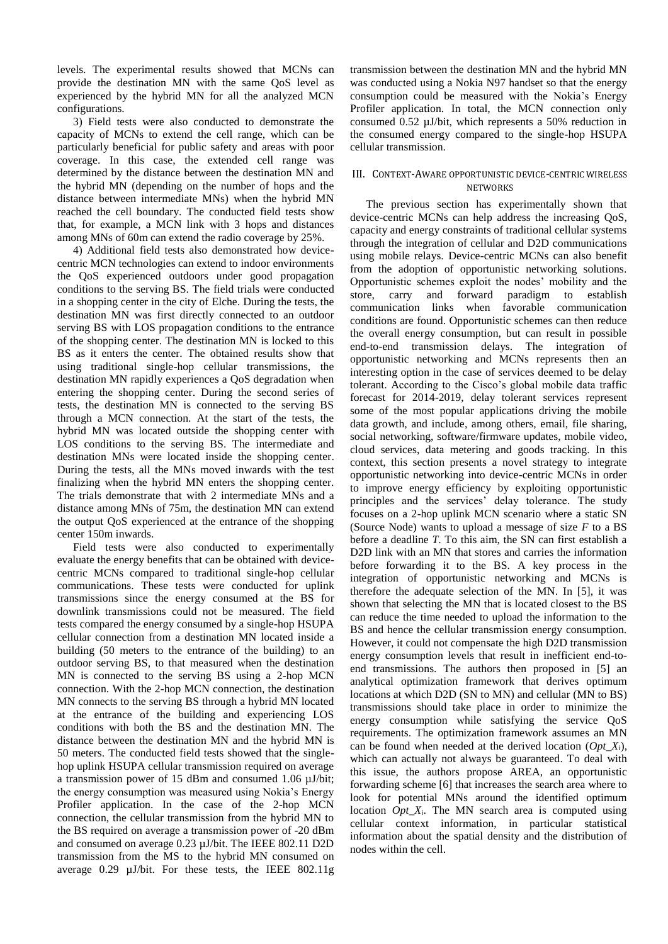levels. The experimental results showed that MCNs can provide the destination MN with the same QoS level as experienced by the hybrid MN for all the analyzed MCN configurations.

3) Field tests were also conducted to demonstrate the capacity of MCNs to extend the cell range, which can be particularly beneficial for public safety and areas with poor coverage. In this case, the extended cell range was determined by the distance between the destination MN and the hybrid MN (depending on the number of hops and the distance between intermediate MNs) when the hybrid MN reached the cell boundary. The conducted field tests show that, for example, a MCN link with 3 hops and distances among MNs of 60m can extend the radio coverage by 25%.

4) Additional field tests also demonstrated how devicecentric MCN technologies can extend to indoor environments the QoS experienced outdoors under good propagation conditions to the serving BS. The field trials were conducted in a shopping center in the city of Elche. During the tests, the destination MN was first directly connected to an outdoor serving BS with LOS propagation conditions to the entrance of the shopping center. The destination MN is locked to this BS as it enters the center. The obtained results show that using traditional single-hop cellular transmissions, the destination MN rapidly experiences a QoS degradation when entering the shopping center. During the second series of tests, the destination MN is connected to the serving BS through a MCN connection. At the start of the tests, the hybrid MN was located outside the shopping center with LOS conditions to the serving BS. The intermediate and destination MNs were located inside the shopping center. During the tests, all the MNs moved inwards with the test finalizing when the hybrid MN enters the shopping center. The trials demonstrate that with 2 intermediate MNs and a distance among MNs of 75m, the destination MN can extend the output QoS experienced at the entrance of the shopping center 150m inwards.

Field tests were also conducted to experimentally evaluate the energy benefits that can be obtained with devicecentric MCNs compared to traditional single-hop cellular communications. These tests were conducted for uplink transmissions since the energy consumed at the BS for downlink transmissions could not be measured. The field tests compared the energy consumed by a single-hop HSUPA cellular connection from a destination MN located inside a building (50 meters to the entrance of the building) to an outdoor serving BS, to that measured when the destination MN is connected to the serving BS using a 2-hop MCN connection. With the 2-hop MCN connection, the destination MN connects to the serving BS through a hybrid MN located at the entrance of the building and experiencing LOS conditions with both the BS and the destination MN. The distance between the destination MN and the hybrid MN is 50 meters. The conducted field tests showed that the singlehop uplink HSUPA cellular transmission required on average a transmission power of 15 dBm and consumed 1.06 µJ/bit; the energy consumption was measured using Nokia's Energy Profiler application. In the case of the 2-hop MCN connection, the cellular transmission from the hybrid MN to the BS required on average a transmission power of -20 dBm and consumed on average 0.23 µJ/bit. The IEEE 802.11 D2D transmission from the MS to the hybrid MN consumed on average 0.29 µJ/bit. For these tests, the IEEE 802.11g transmission between the destination MN and the hybrid MN was conducted using a Nokia N97 handset so that the energy consumption could be measured with the Nokia's Energy Profiler application. In total, the MCN connection only consumed 0.52 µJ/bit, which represents a 50% reduction in the consumed energy compared to the single-hop HSUPA cellular transmission.

## III. CONTEXT-AWARE OPPORTUNISTIC DEVICE-CENTRIC WIRELESS **NETWORKS**

The previous section has experimentally shown that device-centric MCNs can help address the increasing QoS, capacity and energy constraints of traditional cellular systems through the integration of cellular and D2D communications using mobile relays. Device-centric MCNs can also benefit from the adoption of opportunistic networking solutions. Opportunistic schemes exploit the nodes' mobility and the store, carry and forward paradigm to establish communication links when favorable communication conditions are found. Opportunistic schemes can then reduce the overall energy consumption, but can result in possible end-to-end transmission delays. The integration of opportunistic networking and MCNs represents then an interesting option in the case of services deemed to be delay tolerant. According to the Cisco's global mobile data traffic forecast for 2014-2019, delay tolerant services represent some of the most popular applications driving the mobile data growth, and include, among others, email, file sharing, social networking, software/firmware updates, mobile video, cloud services, data metering and goods tracking. In this context, this section presents a novel strategy to integrate opportunistic networking into device-centric MCNs in order to improve energy efficiency by exploiting opportunistic principles and the services' delay tolerance. The study focuses on a 2-hop uplink MCN scenario where a static SN (Source Node) wants to upload a message of size *F* to a BS before a deadline *T*. To this aim, the SN can first establish a D2D link with an MN that stores and carries the information before forwarding it to the BS. A key process in the integration of opportunistic networking and MCNs is therefore the adequate selection of the MN. In [5], it was shown that selecting the MN that is located closest to the BS can reduce the time needed to upload the information to the BS and hence the cellular transmission energy consumption. However, it could not compensate the high D2D transmission energy consumption levels that result in inefficient end-toend transmissions. The authors then proposed in [5] an analytical optimization framework that derives optimum locations at which D2D (SN to MN) and cellular (MN to BS) transmissions should take place in order to minimize the energy consumption while satisfying the service QoS requirements. The optimization framework assumes an MN can be found when needed at the derived location (*Opt X<sub>i</sub>*), which can actually not always be guaranteed. To deal with this issue, the authors propose AREA, an opportunistic forwarding scheme [6] that increases the search area where to look for potential MNs around the identified optimum location *Opt\_Xi*. The MN search area is computed using cellular context information, in particular statistical information about the spatial density and the distribution of nodes within the cell.